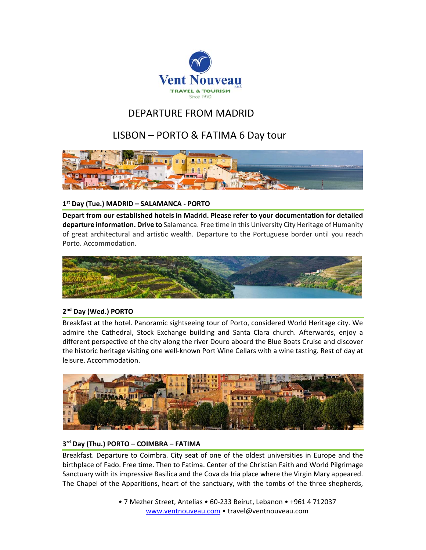

# DEPARTURE FROM MADRID

# LISBON – PORTO & FATIMA 6 Day tour



## **1st Day (Tue.) MADRID – SALAMANCA ‐ PORTO**

**Depart from our established hotels in Madrid. Please refer to your documentation for detailed departure information. Drive to** Salamanca. Free time in this University City Heritage of Humanity of great architectural and artistic wealth. Departure to the Portuguese border until you reach Porto. Accommodation.



## **2nd Day (Wed.) PORTO**

Breakfast at the hotel. Panoramic sightseeing tour of Porto, considered World Heritage city. We admire the Cathedral, Stock Exchange building and Santa Clara church. Afterwards, enjoy a different perspective of the city along the river Douro aboard the Blue Boats Cruise and discover the historic heritage visiting one well‐known Port Wine Cellars with a wine tasting. Rest of day at leisure. Accommodation.



### **3rd Day (Thu.) PORTO – COIMBRA – FATIMA**

Breakfast. Departure to Coimbra. City seat of one of the oldest universities in Europe and the birthplace of Fado. Free time. Then to Fatima. Center of the Christian Faith and World Pilgrimage Sanctuary with its impressive Basilica and the Cova da Iria place where the Virgin Mary appeared. The Chapel of the Apparitions, heart of the sanctuary, with the tombs of the three shepherds,

> • 7 Mezher Street, Antelias • 60‐233 Beirut, Lebanon • +961 4 712037 www.ventnouveau.com • travel@ventnouveau.com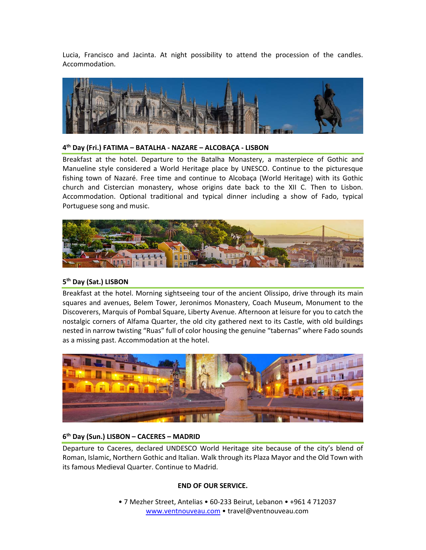Lucia, Francisco and Jacinta. At night possibility to attend the procession of the candles. Accommodation.



#### **4th Day (Fri.) FATIMA – BATALHA ‐ NAZARE – ALCOBAÇA ‐ LISBON**

Breakfast at the hotel. Departure to the Batalha Monastery, a masterpiece of Gothic and Manueline style considered a World Heritage place by UNESCO. Continue to the picturesque fishing town of Nazaré. Free time and continue to Alcobaça (World Heritage) with its Gothic church and Cistercian monastery, whose origins date back to the XII C. Then to Lisbon. Accommodation. Optional traditional and typical dinner including a show of Fado, typical Portuguese song and music.



#### **5th Day (Sat.) LISBON**

Breakfast at the hotel. Morning sightseeing tour of the ancient Olissipo, drive through its main squares and avenues, Belem Tower, Jeronimos Monastery, Coach Museum, Monument to the Discoverers, Marquis of Pombal Square, Liberty Avenue. Afternoon at leisure for you to catch the nostalgic corners of Alfama Quarter, the old city gathered next to its Castle, with old buildings nested in narrow twisting "Ruas" full of color housing the genuine "tabernas" where Fado sounds as a missing past. Accommodation at the hotel.



#### **6th Day (Sun.) LISBON – CACERES – MADRID**

Departure to Caceres, declared UNDESCO World Heritage site because of the city's blend of Roman, Islamic, Northern Gothic and Italian. Walk through its Plaza Mayor and the Old Town with its famous Medieval Quarter. Continue to Madrid.

#### **END OF OUR SERVICE.**

• 7 Mezher Street, Antelias • 60‐233 Beirut, Lebanon • +961 4 712037 www.ventnouveau.com • travel@ventnouveau.com